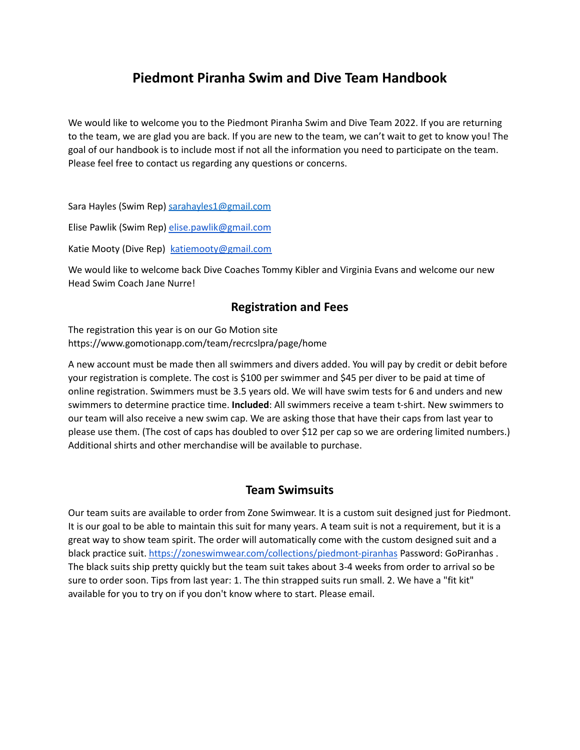# **Piedmont Piranha Swim and Dive Team Handbook**

We would like to welcome you to the Piedmont Piranha Swim and Dive Team 2022. If you are returning to the team, we are glad you are back. If you are new to the team, we can't wait to get to know you! The goal of our handbook is to include most if not all the information you need to participate on the team. Please feel free to contact us regarding any questions or concerns.

Sara Hayles (Swim Rep) [sarahayles1@gmail.com](mailto:sarahayles1@gmail.com)

Elise Pawlik (Swim Rep) [elise.pawlik@gmail.com](mailto:elise.pawlik@gmail.com)

Katie Mooty (Dive Rep) [katiemooty@gmail.com](mailto:katiemooty@gmail.com)

We would like to welcome back Dive Coaches Tommy Kibler and Virginia Evans and welcome our new Head Swim Coach Jane Nurre!

#### **Registration and Fees**

The registration this year is on our Go Motion site https://www.gomotionapp.com/team/recrcslpra/page/home

A new account must be made then all swimmers and divers added. You will pay by credit or debit before your registration is complete. The cost is \$100 per swimmer and \$45 per diver to be paid at time of online registration. Swimmers must be 3.5 years old. We will have swim tests for 6 and unders and new swimmers to determine practice time. **Included**: All swimmers receive a team t-shirt. New swimmers to our team will also receive a new swim cap. We are asking those that have their caps from last year to please use them. (The cost of caps has doubled to over \$12 per cap so we are ordering limited numbers.) Additional shirts and other merchandise will be available to purchase.

#### **Team Swimsuits**

Our team suits are available to order from Zone Swimwear. It is a custom suit designed just for Piedmont. It is our goal to be able to maintain this suit for many years. A team suit is not a requirement, but it is a great way to show team spirit. The order will automatically come with the custom designed suit and a black practice suit. <https://zoneswimwear.com/collections/piedmont-piranhas> Password: GoPiranhas . The black suits ship pretty quickly but the team suit takes about 3-4 weeks from order to arrival so be sure to order soon. Tips from last year: 1. The thin strapped suits run small. 2. We have a "fit kit" available for you to try on if you don't know where to start. Please email.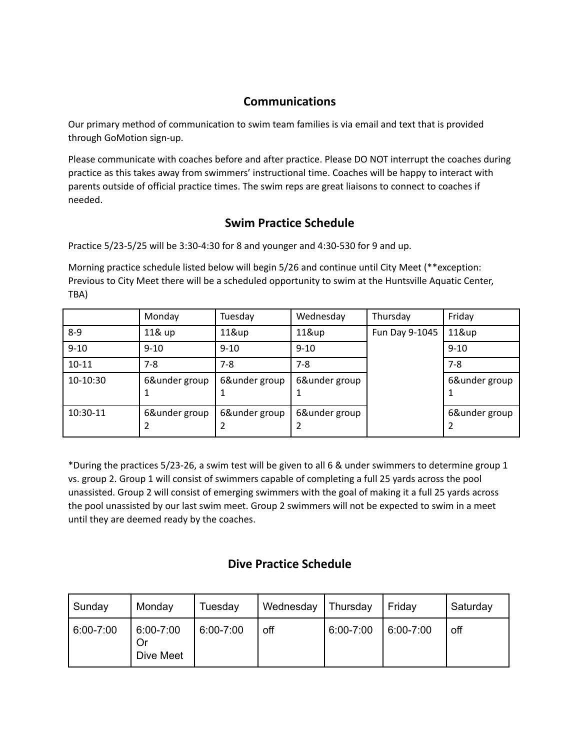### **Communications**

Our primary method of communication to swim team families is via email and text that is provided through GoMotion sign-up.

Please communicate with coaches before and after practice. Please DO NOT interrupt the coaches during practice as this takes away from swimmers' instructional time. Coaches will be happy to interact with parents outside of official practice times. The swim reps are great liaisons to connect to coaches if needed.

### **Swim Practice Schedule**

Practice 5/23-5/25 will be 3:30-4:30 for 8 and younger and 4:30-530 for 9 and up.

Morning practice schedule listed below will begin 5/26 and continue until City Meet (\*\*exception: Previous to City Meet there will be a scheduled opportunity to swim at the Huntsville Aquatic Center, TBA)

|           | Monday        | Tuesday       | Wednesday          | Thursday       | Friday        |
|-----------|---------------|---------------|--------------------|----------------|---------------|
| $8-9$     | 11& up        | 11&up         | 11&up              | Fun Day 9-1045 | 11&up         |
| $9 - 10$  | $9 - 10$      | $9 - 10$      | $9 - 10$           |                | $9 - 10$      |
| $10 - 11$ | 7-8           | $7 - 8$       | $7-8$              |                | $7 - 8$       |
| 10-10:30  | 6&under group | 6&under group | 6&under group      |                | 6&under group |
| 10:30-11  | 6&under group | 6&under group | 6&under group<br>2 |                | 6&under group |

\*During the practices 5/23-26, a swim test will be given to all 6 & under swimmers to determine group 1 vs. group 2. Group 1 will consist of swimmers capable of completing a full 25 yards across the pool unassisted. Group 2 will consist of emerging swimmers with the goal of making it a full 25 yards across the pool unassisted by our last swim meet. Group 2 swimmers will not be expected to swim in a meet until they are deemed ready by the coaches.

# **Dive Practice Schedule**

| Sunday    | Monday                       | Tuesday   | Wednesday | Thursday  | Friday    | Saturday |
|-----------|------------------------------|-----------|-----------|-----------|-----------|----------|
| 6:00-7:00 | 6:00-7:00<br>Or<br>Dive Meet | 6:00-7:00 | off       | 6:00-7:00 | 6:00-7:00 | off      |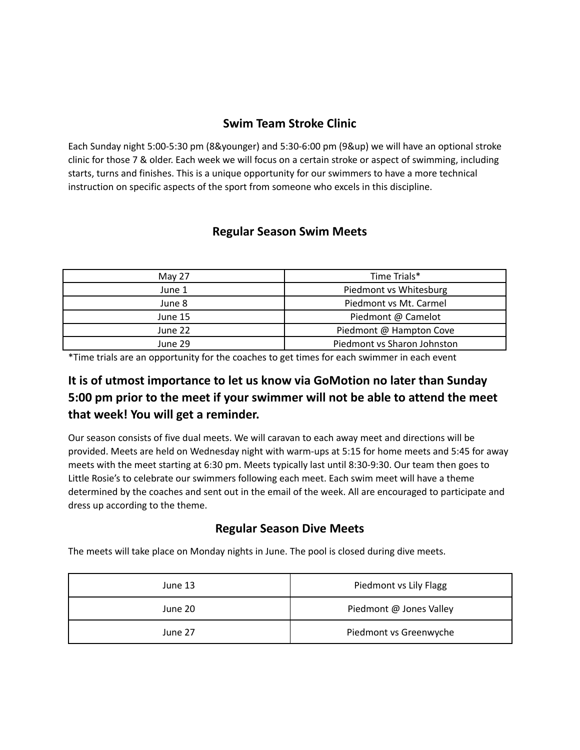### **Swim Team Stroke Clinic**

Each Sunday night 5:00-5:30 pm (8&younger) and 5:30-6:00 pm (9&up) we will have an optional stroke clinic for those 7 & older. Each week we will focus on a certain stroke or aspect of swimming, including starts, turns and finishes. This is a unique opportunity for our swimmers to have a more technical instruction on specific aspects of the sport from someone who excels in this discipline.

### **Regular Season Swim Meets**

| May 27  | Time Trials*                |  |
|---------|-----------------------------|--|
| June 1  | Piedmont vs Whitesburg      |  |
| June 8  | Piedmont vs Mt. Carmel      |  |
| June 15 | Piedmont @ Camelot          |  |
| June 22 | Piedmont @ Hampton Cove     |  |
| June 29 | Piedmont vs Sharon Johnston |  |

\*Time trials are an opportunity for the coaches to get times for each swimmer in each event

# **It is of utmost importance to let us know via GoMotion no later than Sunday 5:00 pm prior to the meet if your swimmer will not be able to attend the meet that week! You will get a reminder.**

Our season consists of five dual meets. We will caravan to each away meet and directions will be provided. Meets are held on Wednesday night with warm-ups at 5:15 for home meets and 5:45 for away meets with the meet starting at 6:30 pm. Meets typically last until 8:30-9:30. Our team then goes to Little Rosie's to celebrate our swimmers following each meet. Each swim meet will have a theme determined by the coaches and sent out in the email of the week. All are encouraged to participate and dress up according to the theme.

### **Regular Season Dive Meets**

The meets will take place on Monday nights in June. The pool is closed during dive meets.

| June 13 | Piedmont vs Lily Flagg  |  |
|---------|-------------------------|--|
| June 20 | Piedmont @ Jones Valley |  |
| June 27 | Piedmont vs Greenwyche  |  |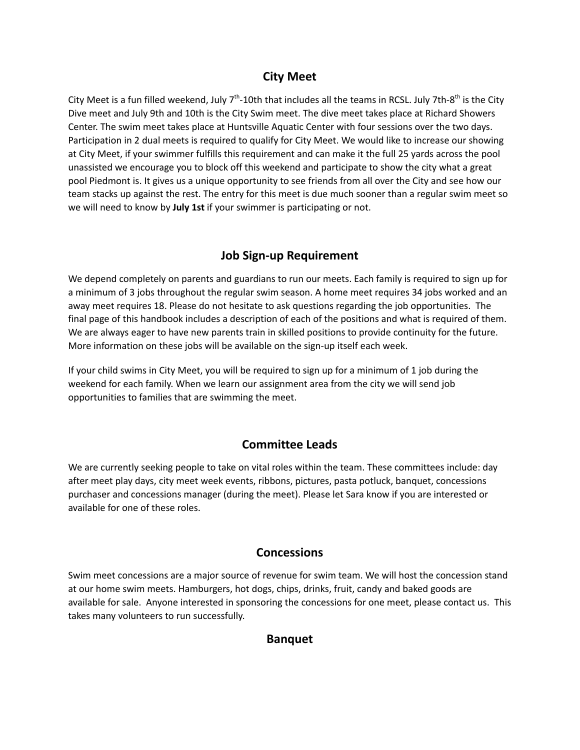### **City Meet**

City Meet is a fun filled weekend, July 7<sup>th</sup>-10th that includes all the teams in RCSL. July 7th-8<sup>th</sup> is the City Dive meet and July 9th and 10th is the City Swim meet. The dive meet takes place at Richard Showers Center. The swim meet takes place at Huntsville Aquatic Center with four sessions over the two days. Participation in 2 dual meets is required to qualify for City Meet. We would like to increase our showing at City Meet, if your swimmer fulfills this requirement and can make it the full 25 yards across the pool unassisted we encourage you to block off this weekend and participate to show the city what a great pool Piedmont is. It gives us a unique opportunity to see friends from all over the City and see how our team stacks up against the rest. The entry for this meet is due much sooner than a regular swim meet so we will need to know by **July 1st** if your swimmer is participating or not.

# **Job Sign-up Requirement**

We depend completely on parents and guardians to run our meets. Each family is required to sign up for a minimum of 3 jobs throughout the regular swim season. A home meet requires 34 jobs worked and an away meet requires 18. Please do not hesitate to ask questions regarding the job opportunities. The final page of this handbook includes a description of each of the positions and what is required of them. We are always eager to have new parents train in skilled positions to provide continuity for the future. More information on these jobs will be available on the sign-up itself each week.

If your child swims in City Meet, you will be required to sign up for a minimum of 1 job during the weekend for each family. When we learn our assignment area from the city we will send job opportunities to families that are swimming the meet.

# **Committee Leads**

We are currently seeking people to take on vital roles within the team. These committees include: day after meet play days, city meet week events, ribbons, pictures, pasta potluck, banquet, concessions purchaser and concessions manager (during the meet). Please let Sara know if you are interested or available for one of these roles.

### **Concessions**

Swim meet concessions are a major source of revenue for swim team. We will host the concession stand at our home swim meets. Hamburgers, hot dogs, chips, drinks, fruit, candy and baked goods are available for sale. Anyone interested in sponsoring the concessions for one meet, please contact us. This takes many volunteers to run successfully.

### **Banquet**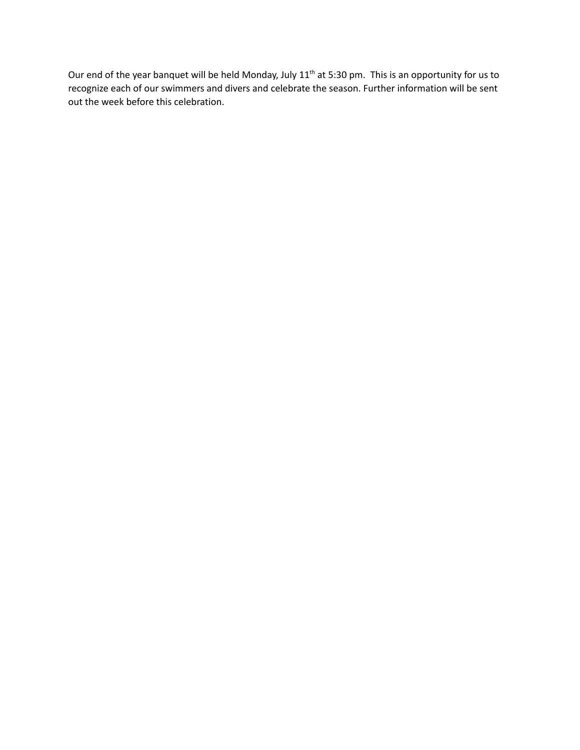Our end of the year banquet will be held Monday, July 11<sup>th</sup> at 5:30 pm. This is an opportunity for us to recognize each of our swimmers and divers and celebrate the season. Further information will be sent out the week before this celebration.